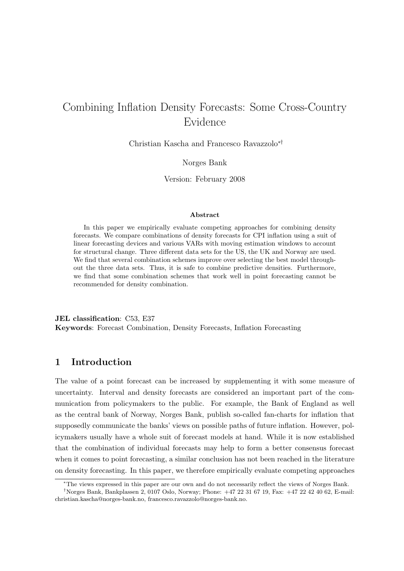# Combining Inflation Density Forecasts: Some Cross-Country Evidence

Christian Kascha and Francesco Ravazzolo∗†

Norges Bank

Version: February 2008

#### Abstract

In this paper we empirically evaluate competing approaches for combining density forecasts. We compare combinations of density forecasts for CPI inflation using a suit of linear forecasting devices and various VARs with moving estimation windows to account for structural change. Three different data sets for the US, the UK and Norway are used. We find that several combination schemes improve over selecting the best model throughout the three data sets. Thus, it is safe to combine predictive densities. Furthermore, we find that some combination schemes that work well in point forecasting cannot be recommended for density combination.

JEL classification: C53, E37 Keywords: Forecast Combination, Density Forecasts, Inflation Forecasting

## 1 Introduction

The value of a point forecast can be increased by supplementing it with some measure of uncertainty. Interval and density forecasts are considered an important part of the communication from policymakers to the public. For example, the Bank of England as well as the central bank of Norway, Norges Bank, publish so-called fan-charts for inflation that supposedly communicate the banks' views on possible paths of future inflation. However, policymakers usually have a whole suit of forecast models at hand. While it is now established that the combination of individual forecasts may help to form a better consensus forecast when it comes to point forecasting, a similar conclusion has not been reached in the literature on density forecasting. In this paper, we therefore empirically evaluate competing approaches

<sup>∗</sup>The views expressed in this paper are our own and do not necessarily reflect the views of Norges Bank.

<sup>†</sup>Norges Bank, Bankplassen 2, 0107 Oslo, Norway; Phone: +47 22 31 67 19, Fax: +47 22 42 40 62, E-mail: christian.kascha@norges-bank.no, francesco.ravazzolo@norges-bank.no.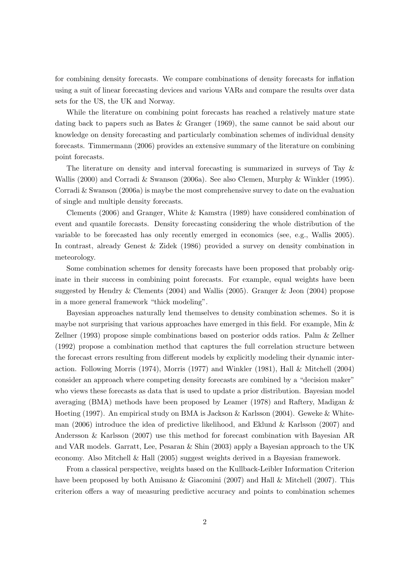for combining density forecasts. We compare combinations of density forecasts for inflation using a suit of linear forecasting devices and various VARs and compare the results over data sets for the US, the UK and Norway.

While the literature on combining point forecasts has reached a relatively mature state dating back to papers such as Bates & Granger (1969), the same cannot be said about our knowledge on density forecasting and particularly combination schemes of individual density forecasts. Timmermann (2006) provides an extensive summary of the literature on combining point forecasts.

The literature on density and interval forecasting is summarized in surveys of Tay & Wallis (2000) and Corradi & Swanson (2006a). See also Clemen, Murphy & Winkler (1995). Corradi & Swanson (2006a) is maybe the most comprehensive survey to date on the evaluation of single and multiple density forecasts.

Clements (2006) and Granger, White & Kamstra (1989) have considered combination of event and quantile forecasts. Density forecasting considering the whole distribution of the variable to be forecasted has only recently emerged in economics (see, e.g., Wallis 2005). In contrast, already Genest & Zidek (1986) provided a survey on density combination in meteorology.

Some combination schemes for density forecasts have been proposed that probably originate in their success in combining point forecasts. For example, equal weights have been suggested by Hendry & Clements (2004) and Wallis (2005). Granger & Jeon (2004) propose in a more general framework "thick modeling".

Bayesian approaches naturally lend themselves to density combination schemes. So it is maybe not surprising that various approaches have emerged in this field. For example, Min  $\&$ Zellner (1993) propose simple combinations based on posterior odds ratios. Palm & Zellner (1992) propose a combination method that captures the full correlation structure between the forecast errors resulting from different models by explicitly modeling their dynamic interaction. Following Morris (1974), Morris (1977) and Winkler (1981), Hall & Mitchell (2004) consider an approach where competing density forecasts are combined by a "decision maker" who views these forecasts as data that is used to update a prior distribution. Bayesian model averaging (BMA) methods have been proposed by Leamer (1978) and Raftery, Madigan & Hoeting (1997). An empirical study on BMA is Jackson & Karlsson (2004). Geweke & Whiteman (2006) introduce the idea of predictive likelihood, and Eklund & Karlsson (2007) and Andersson & Karlsson (2007) use this method for forecast combination with Bayesian AR and VAR models. Garratt, Lee, Pesaran & Shin (2003) apply a Bayesian approach to the UK economy. Also Mitchell & Hall (2005) suggest weights derived in a Bayesian framework.

From a classical perspective, weights based on the Kullback-Leibler Information Criterion have been proposed by both Amisano & Giacomini (2007) and Hall & Mitchell (2007). This criterion offers a way of measuring predictive accuracy and points to combination schemes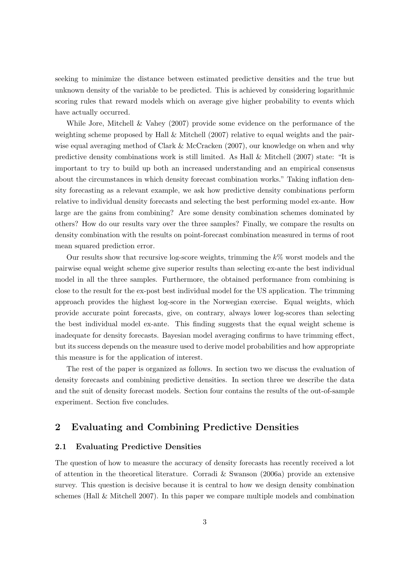seeking to minimize the distance between estimated predictive densities and the true but unknown density of the variable to be predicted. This is achieved by considering logarithmic scoring rules that reward models which on average give higher probability to events which have actually occurred.

While Jore, Mitchell & Vahey (2007) provide some evidence on the performance of the weighting scheme proposed by Hall & Mitchell (2007) relative to equal weights and the pairwise equal averaging method of Clark & McCracken (2007), our knowledge on when and why predictive density combinations work is still limited. As Hall & Mitchell (2007) state: "It is important to try to build up both an increased understanding and an empirical consensus about the circumstances in which density forecast combination works." Taking inflation density forecasting as a relevant example, we ask how predictive density combinations perform relative to individual density forecasts and selecting the best performing model ex-ante. How large are the gains from combining? Are some density combination schemes dominated by others? How do our results vary over the three samples? Finally, we compare the results on density combination with the results on point-forecast combination measured in terms of root mean squared prediction error.

Our results show that recursive log-score weights, trimming the  $k\%$  worst models and the pairwise equal weight scheme give superior results than selecting ex-ante the best individual model in all the three samples. Furthermore, the obtained performance from combining is close to the result for the ex-post best individual model for the US application. The trimming approach provides the highest log-score in the Norwegian exercise. Equal weights, which provide accurate point forecasts, give, on contrary, always lower log-scores than selecting the best individual model ex-ante. This finding suggests that the equal weight scheme is inadequate for density forecasts. Bayesian model averaging confirms to have trimming effect, but its success depends on the measure used to derive model probabilities and how appropriate this measure is for the application of interest.

The rest of the paper is organized as follows. In section two we discuss the evaluation of density forecasts and combining predictive densities. In section three we describe the data and the suit of density forecast models. Section four contains the results of the out-of-sample experiment. Section five concludes.

# 2 Evaluating and Combining Predictive Densities

### 2.1 Evaluating Predictive Densities

The question of how to measure the accuracy of density forecasts has recently received a lot of attention in the theoretical literature. Corradi & Swanson (2006a) provide an extensive survey. This question is decisive because it is central to how we design density combination schemes (Hall & Mitchell 2007). In this paper we compare multiple models and combination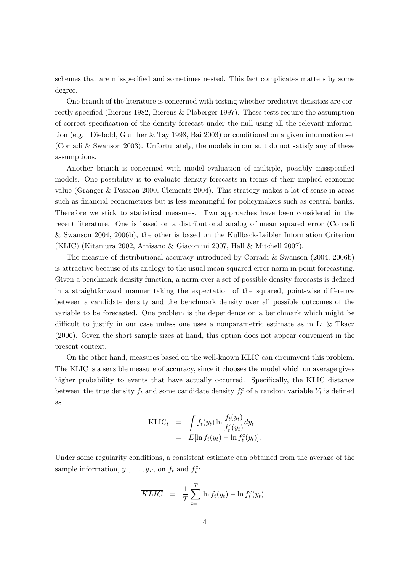schemes that are misspecified and sometimes nested. This fact complicates matters by some degree.

One branch of the literature is concerned with testing whether predictive densities are correctly specified (Bierens 1982, Bierens & Ploberger 1997). These tests require the assumption of correct specification of the density forecast under the null using all the relevant information (e.g., Diebold, Gunther & Tay 1998, Bai 2003) or conditional on a given information set (Corradi & Swanson 2003). Unfortunately, the models in our suit do not satisfy any of these assumptions.

Another branch is concerned with model evaluation of multiple, possibly misspecified models. One possibility is to evaluate density forecasts in terms of their implied economic value (Granger & Pesaran 2000, Clements 2004). This strategy makes a lot of sense in areas such as financial econometrics but is less meaningful for policymakers such as central banks. Therefore we stick to statistical measures. Two approaches have been considered in the recent literature. One is based on a distributional analog of mean squared error (Corradi & Swanson 2004, 2006b), the other is based on the Kullback-Leibler Information Criterion (KLIC) (Kitamura 2002, Amisano & Giacomini 2007, Hall & Mitchell 2007).

The measure of distributional accuracy introduced by Corradi & Swanson (2004, 2006b) is attractive because of its analogy to the usual mean squared error norm in point forecasting. Given a benchmark density function, a norm over a set of possible density forecasts is defined in a straightforward manner taking the expectation of the squared, point-wise difference between a candidate density and the benchmark density over all possible outcomes of the variable to be forecasted. One problem is the dependence on a benchmark which might be difficult to justify in our case unless one uses a nonparametric estimate as in Li & Tkacz (2006). Given the short sample sizes at hand, this option does not appear convenient in the present context.

On the other hand, measures based on the well-known KLIC can circumvent this problem. The KLIC is a sensible measure of accuracy, since it chooses the model which on average gives higher probability to events that have actually occurred. Specifically, the KLIC distance between the true density  $f_t$  and some candidate density  $f_t^c$  of a random variable  $Y_t$  is defined as

$$
\begin{array}{rcl} \text{KLIC}_t & = & \int f_t(y_t) \ln \frac{f_t(y_t)}{f_t^c(y_t)} dy_t \\ & = & E[\ln f_t(y_t) - \ln f_t^c(y_t)]. \end{array}
$$

Under some regularity conditions, a consistent estimate can obtained from the average of the sample information,  $y_1, \ldots, y_T$ , on  $f_t$  and  $f_t^c$ :

$$
\overline{KLIC} = \frac{1}{T} \sum_{t=1}^{T} [\ln f_t(y_t) - \ln f_t^c(y_t)].
$$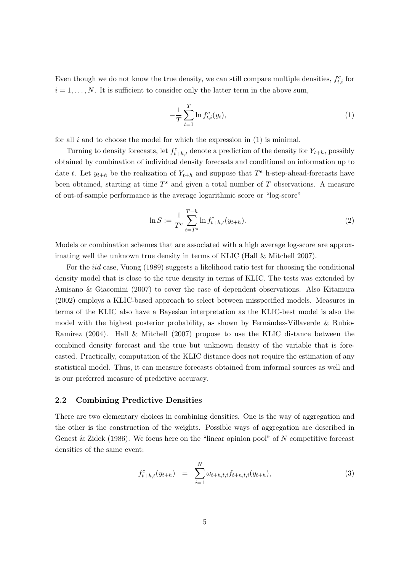Even though we do not know the true density, we can still compare multiple densities,  $f_{t,i}^c$  for  $i = 1, \ldots, N$ . It is sufficient to consider only the latter term in the above sum,

$$
-\frac{1}{T}\sum_{t=1}^{T}\ln f_{t,i}^{c}(y_{t}),
$$
\n(1)

for all  $i$  and to choose the model for which the expression in  $(1)$  is minimal.

Turning to density forecasts, let  $f_{t+h,t}^c$  denote a prediction of the density for  $Y_{t+h}$ , possibly obtained by combination of individual density forecasts and conditional on information up to date t. Let  $y_{t+h}$  be the realization of  $Y_{t+h}$  and suppose that  $T^e$  h-step-ahead-forecasts have been obtained, starting at time  $T^s$  and given a total number of  $T$  observations. A measure of out-of-sample performance is the average logarithmic score or "log-score"

$$
\ln S := \frac{1}{T^e} \sum_{t=T^s}^{T-h} \ln f_{t+h,t}^c(y_{t+h}).
$$
\n(2)

Models or combination schemes that are associated with a high average log-score are approximating well the unknown true density in terms of KLIC (Hall & Mitchell 2007).

For the iid case, Vuong (1989) suggests a likelihood ratio test for choosing the conditional density model that is close to the true density in terms of KLIC. The tests was extended by Amisano & Giacomini (2007) to cover the case of dependent observations. Also Kitamura (2002) employs a KLIC-based approach to select between misspecified models. Measures in terms of the KLIC also have a Bayesian interpretation as the KLIC-best model is also the model with the highest posterior probability, as shown by Fernández-Villaverde  $\&$  Rubio-Ramirez (2004). Hall & Mitchell (2007) propose to use the KLIC distance between the combined density forecast and the true but unknown density of the variable that is forecasted. Practically, computation of the KLIC distance does not require the estimation of any statistical model. Thus, it can measure forecasts obtained from informal sources as well and is our preferred measure of predictive accuracy.

## 2.2 Combining Predictive Densities

There are two elementary choices in combining densities. One is the way of aggregation and the other is the construction of the weights. Possible ways of aggregation are described in Genest  $\&$  Zidek (1986). We focus here on the "linear opinion pool" of N competitive forecast densities of the same event:

$$
f_{t+h,t}^c(y_{t+h}) = \sum_{i=1}^N \omega_{t+h,t,i} f_{t+h,t,i}(y_{t+h}), \qquad (3)
$$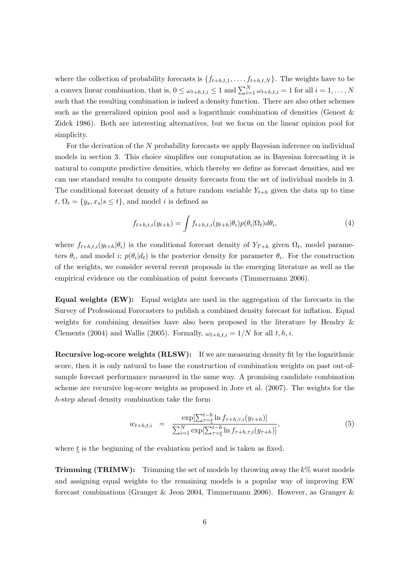where the collection of probability forecasts is  $\{f_{t+h,t,1}, \ldots, f_{t+h,t,N}\}$ . The weights have to be a convex linear combination, that is,  $0 \leq \omega_{t+h,t,i} \leq 1$  and  $\sum_{i=1}^{N} \omega_{t+h,t,i} = 1$  for all  $i = 1, ..., N$ such that the resulting combination is indeed a density function. There are also other schemes such as the generalized opinion pool and a logarithmic combination of densities (Genest & Zidek 1986). Both are interesting alternatives, but we focus on the linear opinion pool for simplicity.

For the derivation of the N probability forecasts we apply Bayesian inference on individual models in section 3. This choice simplifies our computation as in Bayesian forecasting it is natural to compute predictive densities, which thereby we define as forecast densities, and we can use standard results to compute density forecasts from the set of individual models in 3. The conditional forecast density of a future random variable  $Y_{t+h}$  given the data up to time  $t, \Omega_t = \{y_s, x_s | s \le t\},$  and model *i* is defined as

$$
f_{t+h,t,i}(y_{t+h}) = \int f_{t+h,t,i}(y_{t+h}|\theta_i)p(\theta_i|\Omega_t)d\theta_i,
$$
\n(4)

where  $f_{t+h,t,i}(y_{t+h}|\theta_i)$  is the conditional forecast density of  $Y_{T+h}$  given  $\Omega_t$ , model parameters  $\theta_i$ , and model i;  $p(\theta_i|d_t)$  is the posterior density for parameter  $\theta_i$ . For the construction of the weights, we consider several recent proposals in the emerging literature as well as the empirical evidence on the combination of point forecasts (Timmermann 2006).

Equal weights (EW): Equal weights are used in the aggregation of the forecasts in the Survey of Professional Forecasters to publish a combined density forecast for inflation. Equal weights for combining densities have also been proposed in the literature by Hendry & Clements (2004) and Wallis (2005). Formally,  $\omega_{t+h,t,i} = 1/N$  for all  $t, h, i$ .

Recursive log-score weights (RLSW): If we are measuring density fit by the logarithmic score, then it is only natural to base the construction of combination weights on past out-ofsample forecast performance measured in the same way. A promising candidate combination scheme are recursive log-score weights as proposed in Jore et al. (2007). The weights for the h-step ahead density combination take the form

$$
w_{t+h,t,i} = \frac{\exp[\sum_{\tau=t}^{t-h} \ln f_{\tau+h,\tau,i}(y_{\tau+h})]}{\sum_{i=1}^{N} \exp[\sum_{\tau=t}^{t-h} \ln f_{\tau+h,\tau,i}(y_{\tau+h})]},
$$
\n(5)

where  $t$  is the beginning of the evaluation period and is taken as fixed.

**Trimming (TRIMW):** Trimming the set of models by throwing away the  $k\%$  worst models and assigning equal weights to the remaining models is a popular way of improving EW forecast combinations (Granger & Jeon 2004, Timmermann 2006). However, as Granger &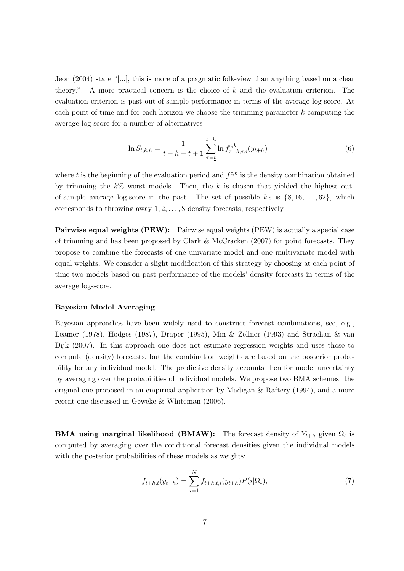Jeon (2004) state "[...], this is more of a pragmatic folk-view than anything based on a clear theory.". A more practical concern is the choice of k and the evaluation criterion. The evaluation criterion is past out-of-sample performance in terms of the average log-score. At each point of time and for each horizon we choose the trimming parameter  $k$  computing the average log-score for a number of alternatives

$$
\ln S_{t,k,h} = \frac{1}{t - h - \underline{t} + 1} \sum_{\tau = \underline{t}}^{t - h} \ln f_{\tau + h,\tau,i}^{c,k}(y_{t+h})
$$
(6)

where  $\underline{t}$  is the beginning of the evaluation period and  $f^{c,k}$  is the density combination obtained by trimming the  $k\%$  worst models. Then, the k is chosen that yielded the highest outof-sample average log-score in the past. The set of possible k s is  $\{8, 16, \ldots, 62\}$ , which corresponds to throwing away 1, 2, . . . , 8 density forecasts, respectively.

Pairwise equal weights (PEW): Pairwise equal weights (PEW) is actually a special case of trimming and has been proposed by Clark & McCracken (2007) for point forecasts. They propose to combine the forecasts of one univariate model and one multivariate model with equal weights. We consider a slight modification of this strategy by choosing at each point of time two models based on past performance of the models' density forecasts in terms of the average log-score.

#### Bayesian Model Averaging

Bayesian approaches have been widely used to construct forecast combinations, see, e.g., Leamer (1978), Hodges (1987), Draper (1995), Min & Zellner (1993) and Strachan & van Dijk (2007). In this approach one does not estimate regression weights and uses those to compute (density) forecasts, but the combination weights are based on the posterior probability for any individual model. The predictive density accounts then for model uncertainty by averaging over the probabilities of individual models. We propose two BMA schemes: the original one proposed in an empirical application by Madigan  $\&$  Raftery (1994), and a more recent one discussed in Geweke & Whiteman (2006).

**BMA** using marginal likelihood (BMAW): The forecast density of  $Y_{t+h}$  given  $\Omega_t$  is computed by averaging over the conditional forecast densities given the individual models with the posterior probabilities of these models as weights:

$$
f_{t+h,t}(y_{t+h}) = \sum_{i=1}^{N} f_{t+h,t,i}(y_{t+h}) P(i|\Omega_t),
$$
\n(7)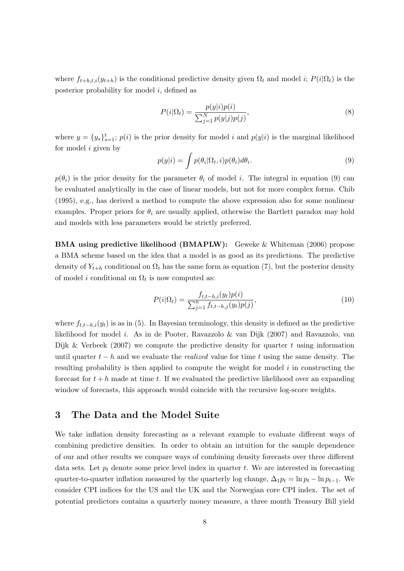where  $f_{t+h,t,i}(y_{t+h})$  is the conditional predictive density given  $\Omega_t$  and model i;  $P(i|\Omega_t)$  is the posterior probability for model i, defined as

$$
P(i|\Omega_t) = \frac{p(y|i)p(i)}{\sum_{j=1}^{N} p(y|j)p(j)},
$$
\n(8)

where  $y = \{y_s\}_{s=1}^t$ ;  $p(i)$  is the prior density for model i and  $p(y|i)$  is the marginal likelihood for model i given by

$$
p(y|i) = \int p(\theta_i|\Omega_t, i)p(\theta_i)d\theta_i.
$$
\n(9)

 $p(\theta_i)$  is the prior density for the parameter  $\theta_i$  of model i. The integral in equation (9) can be evaluated analytically in the case of linear models, but not for more complex forms. Chib (1995), e.g., has derived a method to compute the above expression also for some nonlinear examples. Proper priors for  $\theta_i$  are usually applied, otherwise the Bartlett paradox may hold and models with less parameters would be strictly preferred.

BMA using predictive likelihood (BMAPLW): Geweke & Whiteman (2006) propose a BMA scheme based on the idea that a model is as good as its predictions. The predictive density of  $Y_{t+h}$  conditional on  $\Omega_t$  has the same form as equation (7), but the posterior density of model *i* conditional on  $\Omega_t$  is now computed as:

$$
P(i|\Omega_t) = \frac{f_{t,t-h,i}(y_t)p(i)}{\sum_{j=1}^n f_{t,t-h,j}(y_t)p(j)},
$$
\n(10)

where  $f_{t,t-h,i}(y_t)$  is as in (5). In Bayesian terminology, this density is defined as the predictive likelihood for model i. As in de Pooter, Ravazzolo & van Dijk (2007) and Ravazzolo, van Dijk & Verbeek (2007) we compute the predictive density for quarter t using information until quarter  $t - h$  and we evaluate the *realized* value for time t using the same density. The resulting probability is then applied to compute the weight for model  $i$  in constructing the forecast for  $t + h$  made at time t. If we evaluated the predictive likelihood over an expanding window of forecasts, this approach would coincide with the recursive log-score weights.

# 3 The Data and the Model Suite

We take inflation density forecasting as a relevant example to evaluate different ways of combining predictive densities. In order to obtain an intuition for the sample dependence of our and other results we compare ways of combining density forecasts over three different data sets. Let  $p_t$  denote some price level index in quarter t. We are interested in forecasting quarter-to-quarter inflation measured by the quarterly log change,  $\Delta_1 p_t = \ln p_t - \ln p_{t-1}$ . We consider CPI indices for the US and the UK and the Norwegian core CPI index. The set of potential predictors contains a quarterly money measure, a three month Treasury Bill yield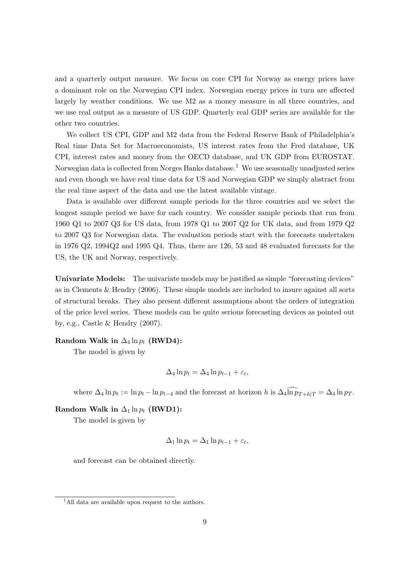and a quarterly output measure. We focus on core CPI for Norway as energy prices have a dominant role on the Norwegian CPI index. Norwegian energy prices in turn are affected largely by weather conditions. We use M2 as a money measure in all three countries, and we use real output as a measure of US GDP. Quarterly real GDP series are available for the other two countries.

We collect US CPI, GDP and M2 data from the Federal Reserve Bank of Philadelphia's Real time Data Set for Macroeconomists, US interest rates from the Fred database, UK CPI, interest rates and money from the OECD database, and UK GDP from EUROSTAT. Norwegian data is collected from Norges Banks database.<sup>1</sup> We use seasonally unadjusted series and even though we have real time data for US and Norwegian GDP we simply abstract from the real time aspect of the data and use the latest available vintage.

Data is available over different sample periods for the three countries and we select the longest sample period we have for each country. We consider sample periods that run from 1960 Q1 to 2007 Q3 for US data, from 1978 Q1 to 2007 Q2 for UK data, and from 1979 Q2 to 2007 Q3 for Norwegian data. The evaluation periods start with the forecasts undertaken in 1976 Q2, 1994Q2 and 1995 Q4. Thus, there are 126, 53 and 48 evaluated forecasts for the US, the UK and Norway, respectively.

Univariate Models: The univariate models may be justified as simple "forecasting devices" as in Clements & Hendry (2006). These simple models are included to insure against all sorts of structural breaks. They also present different assumptions about the orders of integration of the price level series. These models can be quite serious forecasting devices as pointed out by, e.g., Castle & Hendry (2007).

### Random Walk in  $\Delta_4 \ln p_t$  (RWD4):

The model is given by

$$
\Delta_4 \ln p_t = \Delta_4 \ln p_{t-1} + \varepsilon_t,
$$

where  $\Delta_4 \ln p_t := \ln p_t - \ln p_{t-4}$  and the forecast at horizon h is  $\Delta_4 \widehat{\ln p_{T+h|T}} = \Delta_4 \ln p_T$ .

### Random Walk in  $\Delta_1 \ln p_t$  (RWD1):

The model is given by

$$
\Delta_1 \ln p_t = \Delta_1 \ln p_{t-1} + \varepsilon_t,
$$

and forecast can be obtained directly.

<sup>&</sup>lt;sup>1</sup>All data are available upon request to the authors.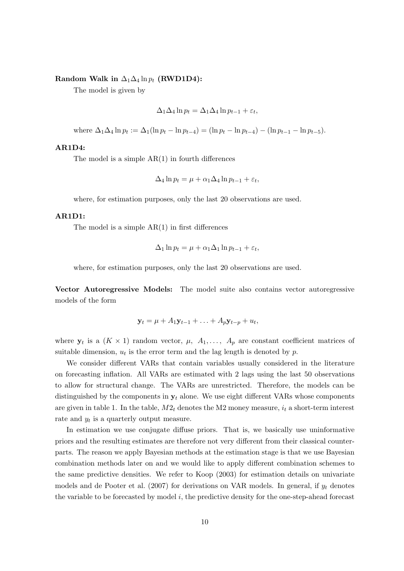#### Random Walk in  $\Delta_1\Delta_4\ln p_t$  (RWD1D4):

The model is given by

$$
\Delta_1 \Delta_4 \ln p_t = \Delta_1 \Delta_4 \ln p_{t-1} + \varepsilon_t,
$$

where  $\Delta_1 \Delta_4 \ln p_t := \Delta_1(\ln p_t - \ln p_{t-4}) = (\ln p_t - \ln p_{t-4}) - (\ln p_{t-1} - \ln p_{t-5}).$ 

## AR1D4:

The model is a simple  $AR(1)$  in fourth differences

$$
\Delta_4 \ln p_t = \mu + \alpha_1 \Delta_4 \ln p_{t-1} + \varepsilon_t,
$$

where, for estimation purposes, only the last 20 observations are used.

#### AR1D1:

The model is a simple  $AR(1)$  in first differences

$$
\Delta_1 \ln p_t = \mu + \alpha_1 \Delta_1 \ln p_{t-1} + \varepsilon_t,
$$

where, for estimation purposes, only the last 20 observations are used.

Vector Autoregressive Models: The model suite also contains vector autoregressive models of the form

$$
\mathbf{y}_t = \mu + A_1 \mathbf{y}_{t-1} + \ldots + A_p \mathbf{y}_{t-p} + u_t,
$$

where  $y_t$  is a  $(K \times 1)$  random vector,  $\mu$ ,  $A_1, \ldots, A_p$  are constant coefficient matrices of suitable dimension,  $u_t$  is the error term and the lag length is denoted by  $p$ .

We consider different VARs that contain variables usually considered in the literature on forecasting inflation. All VARs are estimated with 2 lags using the last 50 observations to allow for structural change. The VARs are unrestricted. Therefore, the models can be distinguished by the components in  $y_t$  alone. We use eight different VARs whose components are given in table 1. In the table,  $M2_t$  denotes the M2 money measure,  $i_t$  a short-term interest rate and  $y_t$  is a quarterly output measure.

In estimation we use conjugate diffuse priors. That is, we basically use uninformative priors and the resulting estimates are therefore not very different from their classical counterparts. The reason we apply Bayesian methods at the estimation stage is that we use Bayesian combination methods later on and we would like to apply different combination schemes to the same predictive densities. We refer to Koop (2003) for estimation details on univariate models and de Pooter et al. (2007) for derivations on VAR models. In general, if  $y_t$  denotes the variable to be forecasted by model  $i$ , the predictive density for the one-step-ahead forecast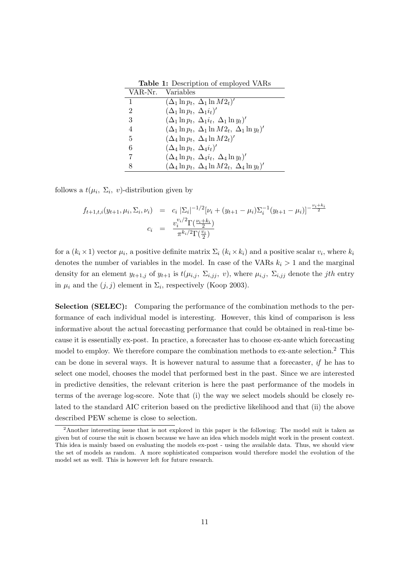| $\mathbf{r}$ and $\mathbf{r}$ , belonging to employ of $\mathbf{r}$ |                                                            |  |  |  |  |  |
|---------------------------------------------------------------------|------------------------------------------------------------|--|--|--|--|--|
|                                                                     | VAR-Nr. Variables                                          |  |  |  |  |  |
|                                                                     | $(\Delta_1 \ln p_t, \Delta_1 \ln M2_t)'$                   |  |  |  |  |  |
| 2                                                                   | $(\Delta_1 \ln p_t, \, \Delta_1 i_t)'$                     |  |  |  |  |  |
| 3                                                                   | $(\Delta_1 \ln p_t, \ \Delta_1 i_t, \ \Delta_1 \ln y_t)'$  |  |  |  |  |  |
| $\overline{4}$                                                      | $(\Delta_1 \ln p_t, \Delta_1 \ln M2_t, \Delta_1 \ln y_t)'$ |  |  |  |  |  |
| 5                                                                   | $(\Delta_4 \ln p_t, \ \Delta_4 \ln M2_t)'$                 |  |  |  |  |  |
| 6                                                                   | $(\Delta_4 \ln p_t, \ \Delta_4 i_t)'$                      |  |  |  |  |  |
|                                                                     | $(\Delta_4 \ln p_t, \ \Delta_4 i_t, \ \Delta_4 \ln y_t)'$  |  |  |  |  |  |
|                                                                     | $(\Delta_4 \ln p_t, \Delta_4 \ln M2_t, \Delta_4 \ln y_t)'$ |  |  |  |  |  |

Table 1: Description of employed VARs

follows a  $t(\mu_i, \Sigma_i, v)$ -distribution given by

$$
f_{t+1,t,i}(y_{t+1}, \mu_i, \Sigma_i, \nu_i) = c_i \left[ \Sigma_i \right]^{-1/2} [\nu_i + (y_{t+1} - \mu_i) \Sigma_i^{-1} (y_{t+1} - \mu_i)]^{-\frac{\nu_i + k_i}{2}}
$$

$$
c_i = \frac{v_i^{\nu_i/2} \Gamma(\frac{\nu_i + k_i}{2})}{\pi^{k_i/2} \Gamma(\frac{\nu_i}{2})}
$$

for a  $(k_i \times 1)$  vector  $\mu_i$ , a positive definite matrix  $\Sigma_i$   $(k_i \times k_i)$  and a positive scalar  $v_i$ , where  $k_i$ denotes the number of variables in the model. In case of the VARs  $k_i > 1$  and the marginal density for an element  $y_{t+1,j}$  of  $y_{t+1}$  is  $t(\mu_{i,j}, \Sigma_{i,jj}, v)$ , where  $\mu_{i,j}, \Sigma_{i,jj}$  denote the jth entry in  $\mu_i$  and the  $(j, j)$  element in  $\Sigma_i$ , respectively (Koop 2003).

Selection (SELEC): Comparing the performance of the combination methods to the performance of each individual model is interesting. However, this kind of comparison is less informative about the actual forecasting performance that could be obtained in real-time because it is essentially ex-post. In practice, a forecaster has to choose ex-ante which forecasting model to employ. We therefore compare the combination methods to ex-ante selection.<sup>2</sup> This can be done in several ways. It is however natural to assume that a forecaster, if he has to select one model, chooses the model that performed best in the past. Since we are interested in predictive densities, the relevant criterion is here the past performance of the models in terms of the average log-score. Note that (i) the way we select models should be closely related to the standard AIC criterion based on the predictive likelihood and that (ii) the above described PEW scheme is close to selection.

<sup>&</sup>lt;sup>2</sup>Another interesting issue that is not explored in this paper is the following: The model suit is taken as given but of course the suit is chosen because we have an idea which models might work in the present context. This idea is mainly based on evaluating the models ex-post - using the available data. Thus, we should view the set of models as random. A more sophisticated comparison would therefore model the evolution of the model set as well. This is however left for future research.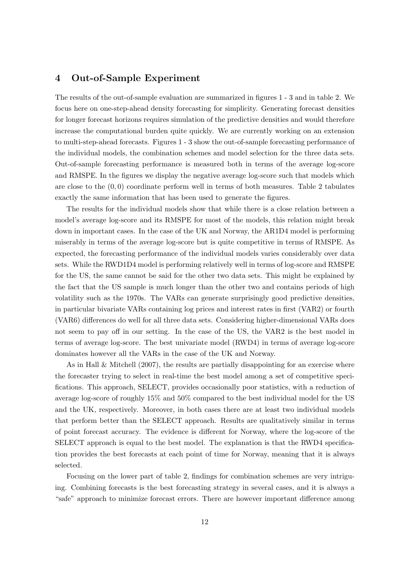## 4 Out-of-Sample Experiment

The results of the out-of-sample evaluation are summarized in figures 1 - 3 and in table 2. We focus here on one-step-ahead density forecasting for simplicity. Generating forecast densities for longer forecast horizons requires simulation of the predictive densities and would therefore increase the computational burden quite quickly. We are currently working on an extension to multi-step-ahead forecasts. Figures 1 - 3 show the out-of-sample forecasting performance of the individual models, the combination schemes and model selection for the three data sets. Out-of-sample forecasting performance is measured both in terms of the average log-score and RMSPE. In the figures we display the negative average log-score such that models which are close to the  $(0,0)$  coordinate perform well in terms of both measures. Table 2 tabulates exactly the same information that has been used to generate the figures.

The results for the individual models show that while there is a close relation between a model's average log-score and its RMSPE for most of the models, this relation might break down in important cases. In the case of the UK and Norway, the AR1D4 model is performing miserably in terms of the average log-score but is quite competitive in terms of RMSPE. As expected, the forecasting performance of the individual models varies considerably over data sets. While the RWD1D4 model is performing relatively well in terms of log-score and RMSPE for the US, the same cannot be said for the other two data sets. This might be explained by the fact that the US sample is much longer than the other two and contains periods of high volatility such as the 1970s. The VARs can generate surprisingly good predictive densities, in particular bivariate VARs containing log prices and interest rates in first (VAR2) or fourth (VAR6) differences do well for all three data sets. Considering higher-dimensional VARs does not seem to pay off in our setting. In the case of the US, the VAR2 is the best model in terms of average log-score. The best univariate model (RWD4) in terms of average log-score dominates however all the VARs in the case of the UK and Norway.

As in Hall & Mitchell (2007), the results are partially disappointing for an exercise where the forecaster trying to select in real-time the best model among a set of competitive specifications. This approach, SELECT, provides occasionally poor statistics, with a reduction of average log-score of roughly 15% and 50% compared to the best individual model for the US and the UK, respectively. Moreover, in both cases there are at least two individual models that perform better than the SELECT approach. Results are qualitatively similar in terms of point forecast accuracy. The evidence is different for Norway, where the log-score of the SELECT approach is equal to the best model. The explanation is that the RWD4 specification provides the best forecasts at each point of time for Norway, meaning that it is always selected.

Focusing on the lower part of table 2, findings for combination schemes are very intriguing. Combining forecasts is the best forecasting strategy in several cases, and it is always a "safe" approach to minimize forecast errors. There are however important difference among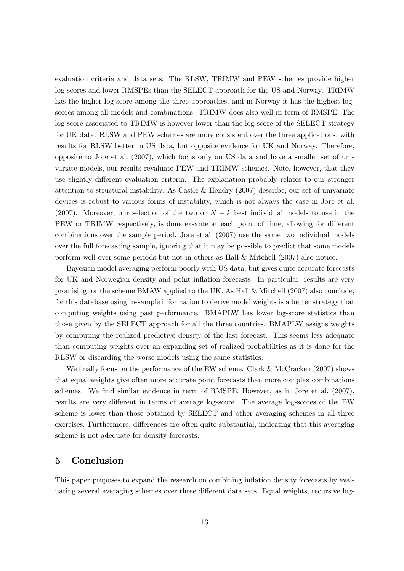evaluation criteria and data sets. The RLSW, TRIMW and PEW schemes provide higher log-scores and lower RMSPEs than the SELECT approach for the US and Norway. TRIMW has the higher log-score among the three approaches, and in Norway it has the highest logscores among all models and combinations. TRIMW does also well in term of RMSPE. The log-score associated to TRIMW is however lower than the log-score of the SELECT strategy for UK data. RLSW and PEW schemes are more consistent over the three applications, with results for RLSW better in US data, but opposite evidence for UK and Norway. Therefore, opposite to Jore et al. (2007), which focus only on US data and have a smaller set of univariate models, our results revaluate PEW and TRIMW schemes. Note, however, that they use slightly different evaluation criteria. The explanation probably relates to our stronger attention to structural instability. As Castle & Hendry (2007) describe, our set of univariate devices is robust to various forms of instability, which is not always the case in Jore et al. (2007). Moreover, our selection of the two or  $N - k$  best individual models to use in the PEW or TRIMW respectively, is done ex-ante at each point of time, allowing for different combinations over the sample period. Jore et al. (2007) use the same two individual models over the full forecasting sample, ignoring that it may be possible to predict that some models perform well over some periods but not in others as Hall & Mitchell (2007) also notice.

Bayesian model averaging perform poorly with US data, but gives quite accurate forecasts for UK and Norwegian density and point inflation forecasts. In particular, results are very promising for the scheme BMAW applied to the UK. As Hall & Mitchell (2007) also conclude, for this database using in-sample information to derive model weights is a better strategy that computing weights using past performance. BMAPLW has lower log-score statistics than those given by the SELECT approach for all the three countries. BMAPLW assigns weights by computing the realized predictive density of the last forecast. This seems less adequate than computing weights over an expanding set of realized probabilities as it is done for the RLSW or discarding the worse models using the same statistics.

We finally focus on the performance of the EW scheme. Clark & McCracken (2007) shows that equal weights give often more accurate point forecasts than more complex combinations schemes. We find similar evidence in term of RMSPE. However, as in Jore et al. (2007), results are very different in terms of average log-score. The average log-scores of the EW scheme is lower than those obtained by SELECT and other averaging schemes in all three exercises. Furthermore, differences are often quite substantial, indicating that this averaging scheme is not adequate for density forecasts.

## 5 Conclusion

This paper proposes to expand the research on combining inflation density forecasts by evaluating several averaging schemes over three different data sets. Equal weights, recursive log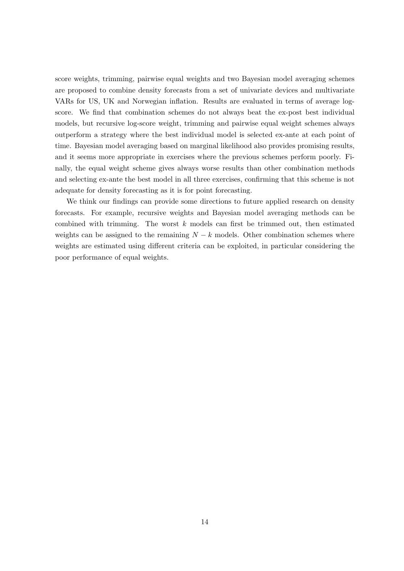score weights, trimming, pairwise equal weights and two Bayesian model averaging schemes are proposed to combine density forecasts from a set of univariate devices and multivariate VARs for US, UK and Norwegian inflation. Results are evaluated in terms of average logscore. We find that combination schemes do not always beat the ex-post best individual models, but recursive log-score weight, trimming and pairwise equal weight schemes always outperform a strategy where the best individual model is selected ex-ante at each point of time. Bayesian model averaging based on marginal likelihood also provides promising results, and it seems more appropriate in exercises where the previous schemes perform poorly. Finally, the equal weight scheme gives always worse results than other combination methods and selecting ex-ante the best model in all three exercises, confirming that this scheme is not adequate for density forecasting as it is for point forecasting.

We think our findings can provide some directions to future applied research on density forecasts. For example, recursive weights and Bayesian model averaging methods can be combined with trimming. The worst  $k$  models can first be trimmed out, then estimated weights can be assigned to the remaining  $N - k$  models. Other combination schemes where weights are estimated using different criteria can be exploited, in particular considering the poor performance of equal weights.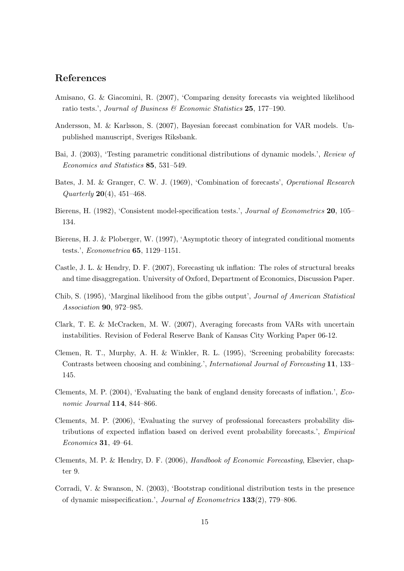## References

- Amisano, G. & Giacomini, R. (2007), 'Comparing density forecasts via weighted likelihood ratio tests.', Journal of Business & Economic Statistics 25, 177-190.
- Andersson, M. & Karlsson, S. (2007), Bayesian forecast combination for VAR models. Unpublished manuscript, Sveriges Riksbank.
- Bai, J. (2003), 'Testing parametric conditional distributions of dynamic models.', Review of Economics and Statistics 85, 531–549.
- Bates, J. M. & Granger, C. W. J. (1969), 'Combination of forecasts', Operational Research  $Quarterly 20(4), 451-468.$
- Bierens, H. (1982), 'Consistent model-specification tests.', *Journal of Econometrics* 20, 105– 134.
- Bierens, H. J. & Ploberger, W. (1997), 'Asymptotic theory of integrated conditional moments tests.', Econometrica 65, 1129–1151.
- Castle, J. L. & Hendry, D. F. (2007), Forecasting uk inflation: The roles of structural breaks and time disaggregation. University of Oxford, Department of Economics, Discussion Paper.
- Chib, S. (1995), 'Marginal likelihood from the gibbs output', Journal of American Statistical Association 90, 972–985.
- Clark, T. E. & McCracken, M. W. (2007), Averaging forecasts from VARs with uncertain instabilities. Revision of Federal Reserve Bank of Kansas City Working Paper 06-12.
- Clemen, R. T., Murphy, A. H. & Winkler, R. L. (1995), 'Screening probability forecasts: Contrasts between choosing and combining.', International Journal of Forecasting 11, 133– 145.
- Clements, M. P. (2004), 'Evaluating the bank of england density forecasts of inflation.', Economic Journal 114, 844–866.
- Clements, M. P. (2006), 'Evaluating the survey of professional forecasters probability distributions of expected inflation based on derived event probability forecasts.', Empirical Economics 31, 49–64.
- Clements, M. P. & Hendry, D. F. (2006), Handbook of Economic Forecasting, Elsevier, chapter 9.
- Corradi, V. & Swanson, N. (2003), 'Bootstrap conditional distribution tests in the presence of dynamic misspecification.', Journal of Econometrics 133(2), 779–806.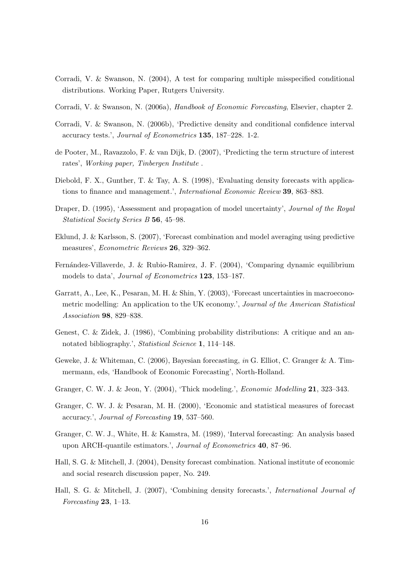- Corradi, V. & Swanson, N. (2004), A test for comparing multiple misspecified conditional distributions. Working Paper, Rutgers University.
- Corradi, V. & Swanson, N. (2006a), Handbook of Economic Forecasting, Elsevier, chapter 2.
- Corradi, V. & Swanson, N. (2006b), 'Predictive density and conditional confidence interval accuracy tests.', Journal of Econometrics 135, 187–228. 1-2.
- de Pooter, M., Ravazzolo, F. & van Dijk, D. (2007), 'Predicting the term structure of interest rates', Working paper, Tinbergen Institute .
- Diebold, F. X., Gunther, T. & Tay, A. S. (1998), 'Evaluating density forecasts with applications to finance and management.', International Economic Review 39, 863–883.
- Draper, D. (1995), 'Assessment and propagation of model uncertainty', Journal of the Royal Statistical Society Series B 56, 45–98.
- Eklund, J. & Karlsson, S. (2007), 'Forecast combination and model averaging using predictive measures', Econometric Reviews 26, 329–362.
- Fernández-Villaverde, J. & Rubio-Ramirez, J. F. (2004), 'Comparing dynamic equilibrium models to data', Journal of Econometrics 123, 153–187.
- Garratt, A., Lee, K., Pesaran, M. H. & Shin, Y. (2003), 'Forecast uncertainties in macroeconometric modelling: An application to the UK economy.', Journal of the American Statistical Association 98, 829–838.
- Genest, C. & Zidek, J. (1986), 'Combining probability distributions: A critique and an annotated bibliography.', Statistical Science 1, 114–148.
- Geweke, J. & Whiteman, C. (2006), Bayesian forecasting, in G. Elliot, C. Granger & A. Timmermann, eds, 'Handbook of Economic Forecasting', North-Holland.
- Granger, C. W. J. & Jeon, Y. (2004), 'Thick modeling.', Economic Modelling 21, 323–343.
- Granger, C. W. J. & Pesaran, M. H. (2000), 'Economic and statistical measures of forecast accuracy.', Journal of Forecasting 19, 537–560.
- Granger, C. W. J., White, H. & Kamstra, M. (1989), 'Interval forecasting: An analysis based upon ARCH-quantile estimators.', Journal of Econometrics 40, 87–96.
- Hall, S. G. & Mitchell, J. (2004), Density forecast combination. National institute of economic and social research discussion paper, No. 249.
- Hall, S. G. & Mitchell, J. (2007), 'Combining density forecasts.', International Journal of Forecasting 23, 1–13.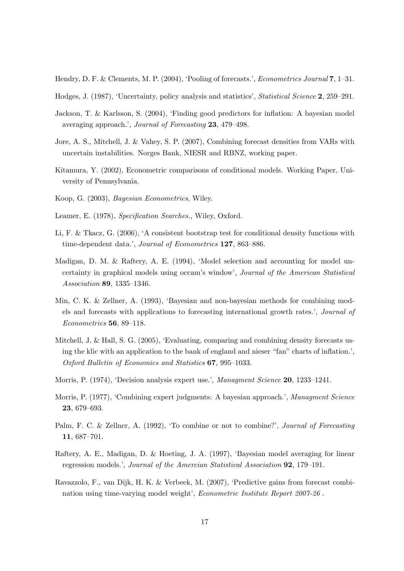Hendry, D. F. & Clements, M. P. (2004), 'Pooling of forecasts.', *Econometrics Journal* 7, 1–31.

- Hodges, J. (1987), 'Uncertainty, policy analysis and statistics', Statistical Science 2, 259–291.
- Jackson, T. & Karlsson, S. (2004), 'Finding good predictors for inflation: A bayesian model averaging approach.', Journal of Forecasting 23, 479–498.
- Jore, A. S., Mitchell, J. & Vahey, S. P. (2007), Combining forecast densities from VARs with uncertain instabilities. Norges Bank, NIESR and RBNZ, working paper.
- Kitamura, Y. (2002), Econometric comparisons of conditional models. Working Paper, University of Pennsylvania.
- Koop, G. (2003), Bayesian Econometrics, Wiley.
- Leamer, E. (1978), Specification Searches., Wiley, Oxford.
- Li, F. & Tkacz, G. (2006), 'A consistent bootstrap test for conditional density functions with time-dependent data.', Journal of Econometrics 127, 863-886.
- Madigan, D. M. & Raftery, A. E. (1994), 'Model selection and accounting for model uncertainty in graphical models using occam's window', Journal of the American Statistical Association 89, 1335–1346.
- Min, C. K. & Zellner, A. (1993), 'Bayesian and non-bayesian methods for combining models and forecasts with applications to forecasting international growth rates.', Journal of Econometrics 56, 89–118.
- Mitchell, J. & Hall, S. G. (2005), 'Evaluating, comparing and combining density forecasts using the klic with an application to the bank of england and nieser "fan" charts of inflation.', Oxford Bulletin of Economics and Statistics 67, 995–1033.
- Morris, P. (1974), 'Decision analysis expert use.', *Managment Science* **20**, 1233–1241.
- Morris, P. (1977), 'Combining expert judgments: A bayesian approach.', Managment Science 23, 679–693.
- Palm, F. C. & Zellner, A. (1992), 'To combine or not to combine?', Journal of Forecasting 11, 687–701.
- Raftery, A. E., Madigan, D. & Hoeting, J. A. (1997), 'Bayesian model averaging for linear regression models.', Journal of the Amercian Statistical Association 92, 179–191.
- Ravazzolo, F., van Dijk, H. K. & Verbeek, M. (2007), 'Predictive gains from forecast combination using time-varying model weight', Econometric Institute Report 2007-26 .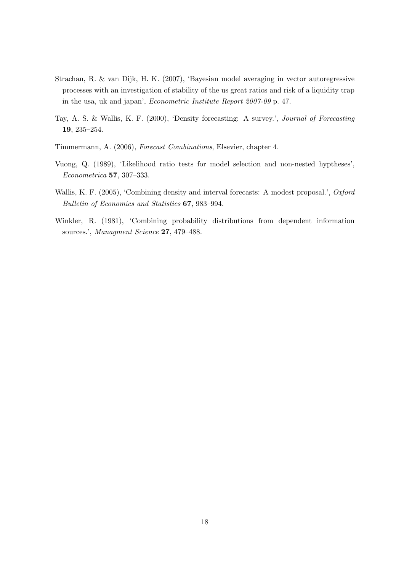- Strachan, R. & van Dijk, H. K. (2007), 'Bayesian model averaging in vector autoregressive processes with an investigation of stability of the us great ratios and risk of a liquidity trap in the usa, uk and japan', Econometric Institute Report 2007-09 p. 47.
- Tay, A. S. & Wallis, K. F. (2000), 'Density forecasting: A survey.', Journal of Forecasting 19, 235–254.
- Timmermann, A. (2006), Forecast Combinations, Elsevier, chapter 4.
- Vuong, Q. (1989), 'Likelihood ratio tests for model selection and non-nested hyptheses', Econometrica 57, 307–333.
- Wallis, K. F. (2005), 'Combining density and interval forecasts: A modest proposal.', Oxford Bulletin of Economics and Statistics 67, 983–994.
- Winkler, R. (1981), 'Combining probability distributions from dependent information sources.', Managment Science 27, 479-488.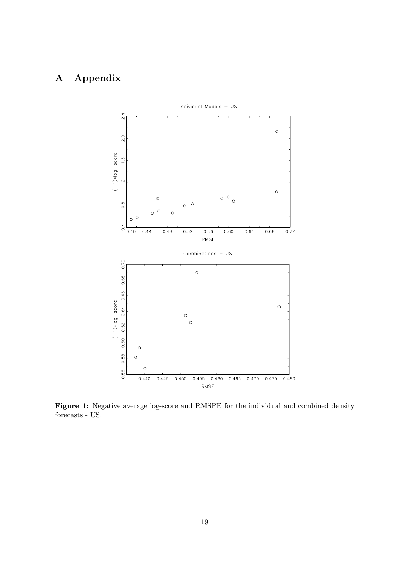# A Appendix



Figure 1: Negative average log-score and RMSPE for the individual and combined density forecasts - US.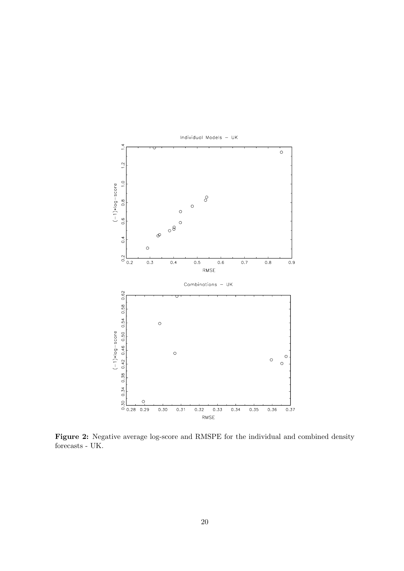

Figure 2: Negative average log-score and RMSPE for the individual and combined density forecasts - UK.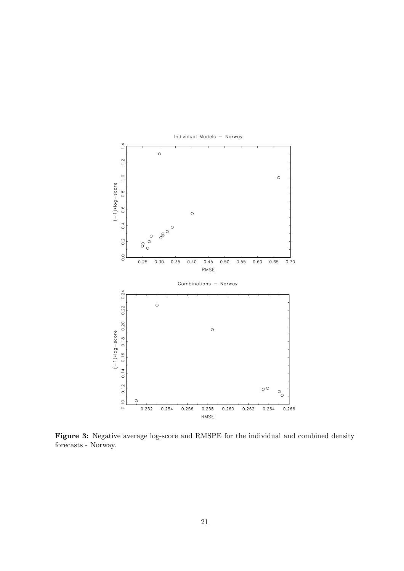

Figure 3: Negative average log-score and RMSPE for the individual and combined density forecasts - Norway.